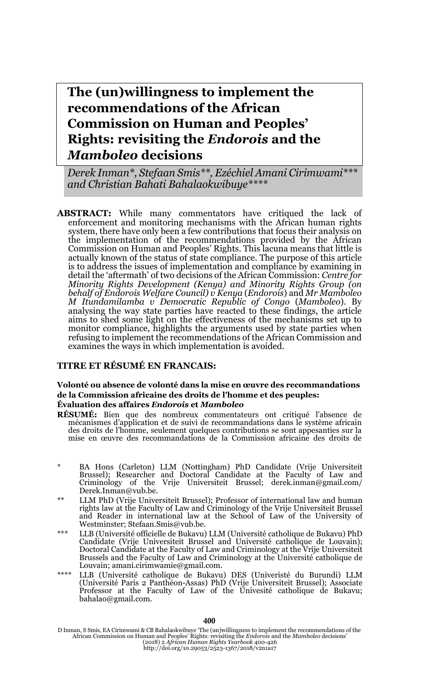**The (un)willingness to implement the recommendations of the African Commission on Human and Peoples' Rights: revisiting the** *Endorois* **and the**  *Mamboleo* **decisions**

*Derek Inman\*, Stefaan Smis\*\*, Ezéchiel Amani Cirimwami\*\*\* and Christian Bahati Bahalaokwibuye\*\*\*\**

**ABSTRACT:** While many commentators have critiqued the lack of enforcement and monitoring mechanisms with the African human rights system, there have only been a few contributions that focus their analysis on the implementation of the recommendations provided by the African Commission on Human and Peoples' Rights. This lacuna means that little is actually known of the status of state compliance. The purpose of this article is to address the issues of implementation and compliance by examining in detail the 'aftermath' of two decisions of the African Commission: *Centre for Minority Rights Development (Kenya) and Minority Rights Group (on behalf of Endorois Welfare Council) v Kenya* (*Endorois*) and *Mr Mamboleo M Itundamilamba v Democratic Republic of Congo* (*Mamboleo*). By analysing the way state parties have reacted to these findings, the article aims to shed some light on the effectiveness of the mechanisms set up to monitor compliance, highlights the arguments used by state parties when refusing to implement the recommendations of the African Commission and examines the ways in which implementation is avoided.

#### **TITRE ET RÉSUMÉ EN FRANCAIS:**

#### **Volonté ou absence de volonté dans la mise en œuvre des recommandations de la Commission africaine des droits de l'homme et des peuples: Évaluation des affaires** *Endorois* **et** *Mamboleo*

- **RÉSUMÉ:** Bien que des nombreux commentateurs ont critiqué l'absence de mécanismes d'application et de suivi de recommandations dans le système africain des droits de l'homme, seulement quelques contributions se sont appesanties sur la mise en œuvre des recommandations de la Commission africaine des droits de
- \* BA Hons (Carleton) LLM (Nottingham) PhD Candidate (Vrije Universiteit Brussel); Researcher and Doctoral Candidate at the Faculty of Law and Criminology of the Vrije Universiteit Brussel; derek.inman@gmail.com/ Derek.Inman@vub.be.
- \*\* LLM PhD (Vrije Universiteit Brussel); Professor of international law and human rights law at the Faculty of Law and Criminology of the Vrije Universiteit Brussel and Reader in international law at the School of Law of the University of Westminster; Stefaan.Smis@vub.be.
- \*\*\* LLB (Université officielle de Bukavu) LLM (Université catholique de Bukavu) PhD Candidate (Vrije Universiteit Brussel and Université catholique de Louvain); Doctoral Candidate at the Faculty of Law and Criminology at the Vrije Universiteit Brussels and the Faculty of Law and Criminology at the Université catholique de Louvain; amani.cirimwamie@gmail.com.
- \*\*\*\* LLB (Université catholique de Bukavu) DES (Univeristé du Burundi) LLM (Université Paris 2 Panthéon-Assas) PhD (Vrije Universiteit Brussel); Associate Professor at the Faculty of Law of the Univesité catholique de Bukavu; bahalao@gmail.com.

D Inman, S Smis, EA Cirimwami & CB Bahalaokwibuye 'The (un)willingness to implement the recommendations of the African Commission on Human and Peoples' Rights: revisiting the *Endorois* and the *Mamboleo* decisions'<br>(2018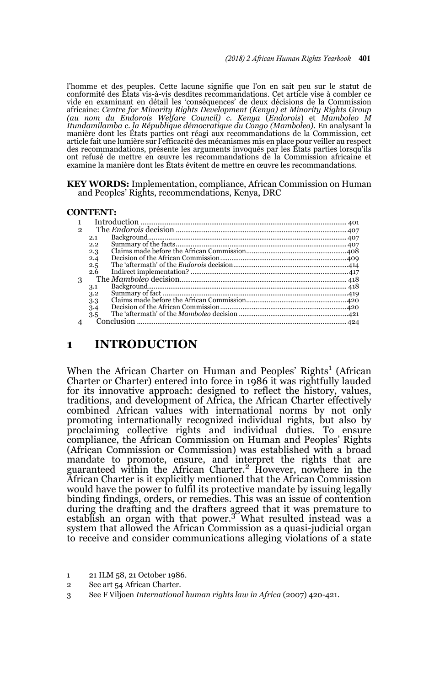l'homme et des peuples. Cette lacune signifie que l'on en sait peu sur le statut de conformité des États vis-à-vis desdites recommandations. Cet article vise à combler ce vide en examinant en détail les 'conséquences' de deux décisions de la Commission africaine: *Centre for Minority Rights Development (Kenya) et Minority Rights Group (au nom du Endorois Welfare Council) c. Kenya* (*Endorois*) et *Mamboleo M Itundamilamba c. la République démocratique du Congo (Mamboleo).* En analysant la<br>manière dont les États parties ont réagi aux recommandations de la Commission, cet<br>article fait une lumière sur l'efficacité des mécanismes des recommandations, présente les arguments invoqués par les États parties lorsqu'ils ont refusé de mettre en œuvre les recommandations de la Commission africaine et examine la manière dont les États évitent de mettre en œuvre les recommandations.

**KEY WORDS:** Implementation, compliance, African Commission on Human and Peoples' Rights, recommendations, Kenya, DRC

#### **CONTENT:**

| 2 |     |  |  |
|---|-----|--|--|
|   | 2.1 |  |  |
|   | 2.2 |  |  |
|   | 2.3 |  |  |
|   | 2.4 |  |  |
|   | 2.5 |  |  |
|   | 2.6 |  |  |
| 3 |     |  |  |
|   | 3.1 |  |  |
|   | 3.2 |  |  |
|   | 3.3 |  |  |
|   | 3.4 |  |  |
|   | 3.5 |  |  |
|   |     |  |  |

## **1 INTRODUCTION**

When the African Charter on Human and Peoples' Rights<sup>1</sup> (African Charter or Charter) entered into force in 1986 it was rightfully lauded for its innovative approach: designed to reflect the history, values, traditions, and development of Africa, the African Charter effectively combined African values with international norms by not only promoting internationally recognized individual rights, but also by proclaiming collective rights and individual duties. To ensure compliance, the African Commission on Human and Peoples' Rights (African Commission or Commission) was established with a broad mandate to promote, ensure, and interpret the rights that are guaranteed within the African Charter.<sup>2</sup> However, nowhere in the African Charter is it explicitly mentioned that the African Commission would have the power to fulfil its protective mandate by issuing legally binding findings, orders, or remedies. This was an issue of contention during the drafting and the drafters agreed that it was premature to establish an organ with that power.3 What resulted instead was a system that allowed the African Commission as a quasi-judicial organ to receive and consider communications alleging violations of a state

1 21 ILM 58, 21 October 1986.

<sup>2</sup> See art 54 African Charter.

<sup>3</sup> See F Viljoen *International human rights law in Africa* (2007) 420-421.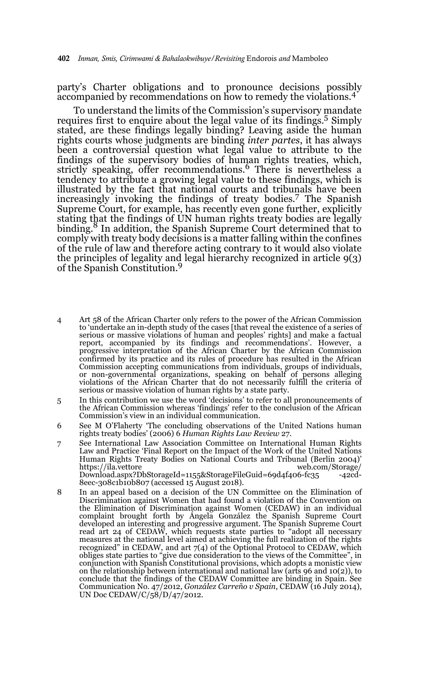party's Charter obligations and to pronounce decisions possibly accompanied by recommendations on how to remedy the violations.<sup>4</sup>

To understand the limits of the Commission's supervisory mandate requires first to enquire about the legal value of its findings.5 Simply stated, are these findings legally binding? Leaving aside the human rights courts whose judgments are binding *inter partes*, it has always been a controversial question what legal value to attribute to the findings of the supervisory bodies of human rights treaties, which, strictly speaking, offer recommendations.6 There is nevertheless a tendency to attribute a growing legal value to these findings, which is illustrated by the fact that national courts and tribunals have been increasingly invoking the findings of treaty bodies.7 The Spanish Supreme Court, for example, has recently even gone further, explicitly stating that the findings of UN human rights treaty bodies are legally binding.<sup>8</sup> In addition, the Spanish Supreme Court determined that to comply with treaty body decisions is a matter falling within the confines of the rule of law and therefore acting contrary to it would also violate the principles of legality and legal hierarchy recognized in article 9(3) of the Spanish Constitution.<sup>9</sup>

- 4 Art 58 of the African Charter only refers to the power of the African Commission to 'undertake an in-depth study of the cases [that reveal the existence of a series of serious or massive violations of human and peoples' rights] and make a factual report, accompanied by its findings and recommendations'. However, a progressive interpretation of the African Charter by the African Commission confirmed by its practice and its rules of procedure has resulted in the African Commission accepting communications from individuals, groups of individuals, or non-governmental organizations, speaking on behalf of persons alleging violations of the African Charter that do not necessarily fulfill the criteria of serious or massive violation of human rights by a state party.
- 5 In this contribution we use the word 'decisions' to refer to all pronouncements of the African Commission whereas 'findings' refer to the conclusion of the African Commission's view in an individual communication.
- 6 See M O'Flaherty 'The concluding observations of the United Nations human rights treaty bodies' (2006) 6 *Human Rights Law Review* 27.
- 7 See International Law Association Committee on International Human Rights Law and Practice 'Final Report on the Impact of the Work of the United Nations Human Rights Treaty Bodies on National Courts and Tribunal (Berlin 2004)' https://ila.vettore<br>Download.aspx?DbStorageId=1155&StorageFileGuid=69d4f406-fc35 -42cd-Download.aspx?DbStorageId=1155&StorageFileGuid=69d4f406-fc35 8eec-308c1b10b807 (accessed 15 August 2018).
- 8 In an appeal based on a decision of the UN Committee on the Elimination of Discrimination against Women that had found a violation of the Convention on the Elimination of Discrimination against Women (CEDAW) in an individual complaint brought forth by Ángela González the Spanish Supreme Court developed an interesting and progressive argument. The Spanish Supreme Court read art 24 of CEDAW, which requests state parties to "adopt all necessary measures at the national level aimed at achieving the full realization of the rights recognized" in CEDAW, and art 7(4) of the Optional Protocol to CEDAW, which obliges state parties to "give due consideration to the views of the Committee", in conjunction with Spanish Constitutional provisions, which adopts a monistic view on the relationship between international and national law (arts 96 and 10(2)), to conclude that the findings of the CEDAW Committee are binding in Spain. See Communication No. 47/2012, *González Carreño v Spain*, CEDAW (16 July 2014), UN Doc CEDAW/C/58/D/47/2012.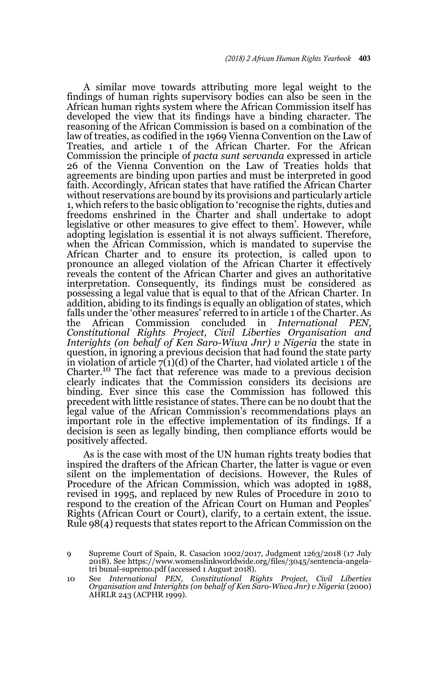A similar move towards attributing more legal weight to the findings of human rights supervisory bodies can also be seen in the African human rights system where the African Commission itself has developed the view that its findings have a binding character. The reasoning of the African Commission is based on a combination of the law of treaties, as codified in the 1969 Vienna Convention on the Law of Treaties, and article 1 of the African Charter. For the African Commission the principle of *pacta sunt servanda* expressed in article 26 of the Vienna Convention on the Law of Treaties holds that agreements are binding upon parties and must be interpreted in good faith. Accordingly, African states that have ratified the African Charter without reservations are bound by its provisions and particularly article 1, which refers to the basic obligation to 'recognise the rights, duties and freedoms enshrined in the Charter and shall undertake to adopt legislative or other measures to give effect to them'. However, while adopting legislation is essential it is not always sufficient. Therefore, when the African Commission, which is mandated to supervise the African Charter and to ensure its protection, is called upon to pronounce an alleged violation of the African Charter it effectively reveals the content of the African Charter and gives an authoritative interpretation. Consequently, its findings must be considered as possessing a legal value that is equal to that of the African Charter. In addition, abiding to its findings is equally an obligation of states, which falls under the 'other measures' referred to in article 1 of the Charter. As the African Commission concluded in *International PEN*. the African Commission concluded in *International Constitutional Rights Project, Civil Liberties Organisation and Interights (on behalf of Ken Saro-Wiwa Jnr) v Nigeria* the state in question, in ignoring a previous decision that had found the state party in violation of article  $7(1)(d)$  of the Charter, had violated article 1 of the Charter.10 The fact that reference was made to a previous decision clearly indicates that the Commission considers its decisions are binding. Ever since this case the Commission has followed this precedent with little resistance of states. There can be no doubt that the legal value of the African Commission's recommendations plays an important role in the effective implementation of its findings. If a decision is seen as legally binding, then compliance efforts would be positively affected.

As is the case with most of the UN human rights treaty bodies that inspired the drafters of the African Charter, the latter is vague or even silent on the implementation of decisions. However, the Rules of Procedure of the African Commission, which was adopted in 1988, revised in 1995, and replaced by new Rules of Procedure in 2010 to respond to the creation of the African Court on Human and Peoples' Rights (African Court or Court), clarify, to a certain extent, the issue. Rule 98(4) requests that states report to the African Commission on the

<sup>9</sup> Supreme Court of Spain, R. Casacion 1002/2017, Judgment 1263/2018 (17 July 2018). See https://www.womenslinkworldwide.org/files/3045/sentencia-angelatri bunal-supremo.pdf (accessed 1 August 2018).

<sup>10</sup> See *International PEN, Constitutional Rights Project, Civil Liberties Organisation and Interights (on behalf of Ken Saro-Wiwa Jnr) v Nigeria* (2000) AHRLR 243 (ACPHR 1999).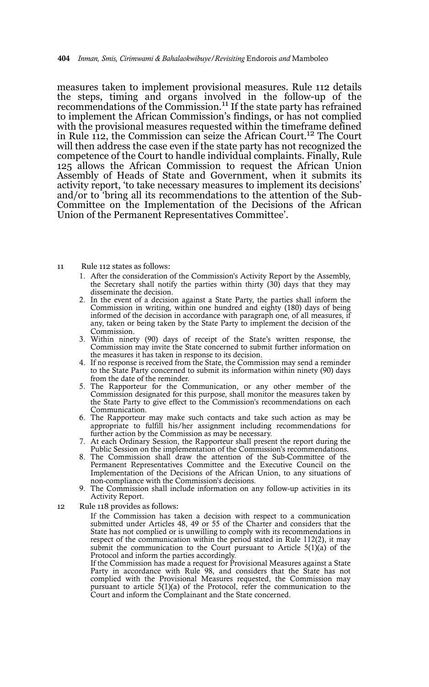measures taken to implement provisional measures. Rule 112 details the steps, timing and organs involved in the follow-up of the recommendations of the Commission.<sup>11</sup> If the state party has refrained to implement the African Commission's findings, or has not complied with the provisional measures requested within the timeframe defined in Rule 112, the Commission can seize the African Court.12 The Court will then address the case even if the state party has not recognized the competence of the Court to handle individual complaints. Finally, Rule 125 allows the African Commission to request the African Union Assembly of Heads of State and Government, when it submits its activity report, 'to take necessary measures to implement its decisions' and/or to 'bring all its recommendations to the attention of the Sub-Committee on the Implementation of the Decisions of the African Union of the Permanent Representatives Committee'.

#### 11 Rule 112 states as follows:

- 1. After the consideration of the Commission's Activity Report by the Assembly, the Secretary shall notify the parties within thirty  $(30)$  days that they may disseminate the decision.
- 2. In the event of a decision against a State Party, the parties shall inform the Commission in writing, within one hundred and eighty (180) days of being informed of the decision in accordance with paragraph one, of all measures, if any, taken or being taken by the State Party to implement the decision of the Commission.
- 3. Within ninety (90) days of receipt of the State's written response, the Commission may invite the State concerned to submit further information on the measures it has taken in response to its decision.
- 4. If no response is received from the State, the Commission may send a reminder to the State Party concerned to submit its information within ninety (90) days from the date of the reminder.
- 5. The Rapporteur for the Communication, or any other member of the Commission designated for this purpose, shall monitor the measures taken by the State Party to give effect to the Commission's recommendations on each Communication.
- 6. The Rapporteur may make such contacts and take such action as may be appropriate to fulfill his/her assignment including recommendations for further action by the Commission as may be necessary.
- 7. At each Ordinary Session, the Rapporteur shall present the report during the Public Session on the implementation of the Commission's recommendations.
- 8. The Commission shall draw the attention of the Sub-Committee of the Permanent Representatives Committee and the Executive Council on the Implementation of the Decisions of the African Union, to any situations of non-compliance with the Commission's decisions.
- 9. The Commission shall include information on any follow-up activities in its Activity Report.
- 12 Rule 118 provides as follows:

If the Commission has taken a decision with respect to a communication submitted under Articles 48, 49 or 55 of the Charter and considers that the State has not complied or is unwilling to comply with its recommendations in respect of the communication within the period stated in Rule 112(2), it may submit the communication to the Court pursuant to Article  $5(1)(a)$  of the Protocol and inform the parties accordingly.

If the Commission has made a request for Provisional Measures against a State Party in accordance with Rule 98, and considers that the State has not complied with the Provisional Measures requested, the Commission may pursuant to article 5(1)(a) of the Protocol, refer the communication to the Court and inform the Complainant and the State concerned.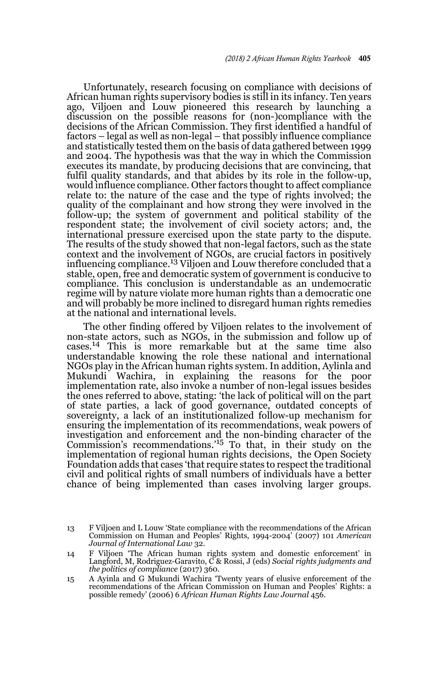Unfortunately, research focusing on compliance with decisions of African human rights supervisory bodies is still in its infancy. Ten years ago, Viljoen and Louw pioneered this research by launching a discussion on the possible reasons for (non-)compliance with the decisions of the African Commission. They first identified a handful of factors – legal as well as non-legal – that possibly influence compliance and statistically tested them on the basis of data gathered between 1999 and 2004. The hypothesis was that the way in which the Commission executes its mandate, by producing decisions that are convincing, that fulfil quality standards, and that abides by its role in the follow-up, would influence compliance. Other factors thought to affect compliance relate to: the nature of the case and the type of rights involved; the quality of the complainant and how strong they were involved in the follow-up; the system of government and political stability of the respondent state; the involvement of civil society actors; and, the international pressure exercised upon the state party to the dispute. The results of the study showed that non-legal factors, such as the state context and the involvement of NGOs, are crucial factors in positively influencing compliance.<sup>13</sup> Viljoen and Louw therefore concluded that a stable, open, free and democratic system of government is conducive to compliance. This conclusion is understandable as an undemocratic regime will by nature violate more human rights than a democratic one and will probably be more inclined to disregard human rights remedies at the national and international levels.

The other finding offered by Viljoen relates to the involvement of non-state actors, such as NGOs, in the submission and follow up of cases.14 This is more remarkable but at the same time also understandable knowing the role these national and international NGOs play in the African human rights system. In addition, Aylinla and Mukundi Wachira, in explaining the reasons for the poor implementation rate, also invoke a number of non-legal issues besides the ones referred to above, stating: 'the lack of political will on the part of state parties, a lack of good governance, outdated concepts of sovereignty, a lack of an institutionalized follow-up mechanism for ensuring the implementation of its recommendations, weak powers of investigation and enforcement and the non-binding character of the Commission's recommendations.'15 To that, in their study on the implementation of regional human rights decisions, the Open Society Foundation adds that cases 'that require states to respect the traditional civil and political rights of small numbers of individuals have a better chance of being implemented than cases involving larger groups.

<sup>13</sup> F Viljoen and L Louw 'State compliance with the recommendations of the African Commission on Human and Peoples' Rights, 1994-2004' (2007) 101 *American Journal of International Law* 32.

<sup>14</sup> F Viljoen 'The African human rights system and domestic enforcement' in Langford, M, Rodriguez-Garavito, C & Rossi, J (eds) *Social rights judgments and the politics of compliance* (2017) 360.

<sup>15</sup> A Ayinla and G Mukundi Wachira 'Twenty years of elusive enforcement of the recommendations of the African Commission on Human and Peoples' Rights: a possible remedy' (2006) 6 *African Human Rights Law Journal* 456.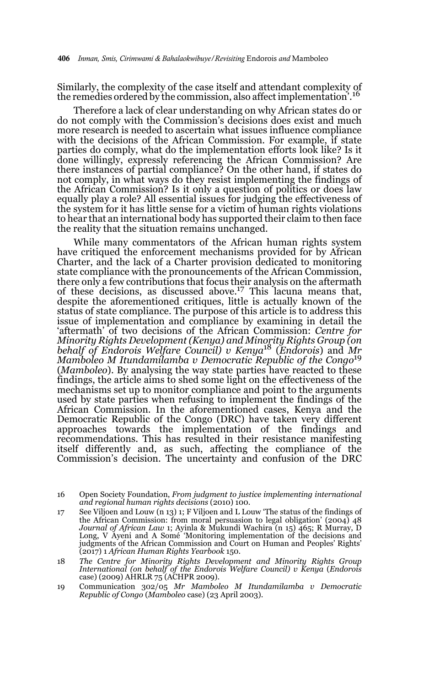Similarly, the complexity of the case itself and attendant complexity of the remedies ordered by the commission, also affect implementation'.<sup>16</sup>

Therefore a lack of clear understanding on why African states do or do not comply with the Commission's decisions does exist and much more research is needed to ascertain what issues influence compliance with the decisions of the African Commission. For example, if state parties do comply, what do the implementation efforts look like? Is it done willingly, expressly referencing the African Commission? Are there instances of partial compliance? On the other hand, if states do not comply, in what ways do they resist implementing the findings of the African Commission? Is it only a question of politics or does law equally play a role? All essential issues for judging the effectiveness of the system for it has little sense for a victim of human rights violations to hear that an international body has supported their claim to then face the reality that the situation remains unchanged.

While many commentators of the African human rights system have critiqued the enforcement mechanisms provided for by African Charter, and the lack of a Charter provision dedicated to monitoring state compliance with the pronouncements of the African Commission, there only a few contributions that focus their analysis on the aftermath of these decisions, as discussed above.17 This lacuna means that, despite the aforementioned critiques, little is actually known of the status of state compliance. The purpose of this article is to address this issue of implementation and compliance by examining in detail the 'aftermath' of two decisions of the African Commission: *Centre for Minority Rights Development (Kenya) and Minority Rights Group (on behalf of Endorois Welfare Council) v Kenya*18 (*Endorois*) and *Mr Mamboleo M Itundamilamba v Democratic Republic of the Congo*<sup>19</sup> (*Mamboleo*). By analysing the way state parties have reacted to these findings, the article aims to shed some light on the effectiveness of the mechanisms set up to monitor compliance and point to the arguments used by state parties when refusing to implement the findings of the African Commission. In the aforementioned cases, Kenya and the Democratic Republic of the Congo (DRC) have taken very different approaches towards the implementation of the findings and recommendations. This has resulted in their resistance manifesting itself differently and, as such, affecting the compliance of the Commission's decision. The uncertainty and confusion of the DRC

<sup>16</sup> Open Society Foundation, *From judgment to justice implementing international and regional human rights decisions* (2010) 100.

<sup>17</sup> See Viljoen and Louw (n 13) 1; F Viljoen and L Louw 'The status of the findings of the African Commission: from moral persuasion to legal obligation' (2004) 48 *Journal of African Law* 1; Ayinla & Mukundi Wachira (n 15) 465; R Murray, D Long, V Ayeni and A Somé 'Monitoring implementation of the decisions and judgments of the African Commission and Court on Human and Peoples' Rights' (2017) 1 *African Human Rights Yearbook* 150.

<sup>18</sup> *The Centre for Minority Rights Development and Minority Rights Group International (on behalf of the Endorois Welfare Council) v Kenya* (*Endorois* case) (2009) AHRLR 75 (ACHPR 2009).

<sup>19</sup> Communication 302/05 *Mr Mamboleo M Itundamilamba v Democratic Republic of Congo* (*Mamboleo* case) (23 April 2003).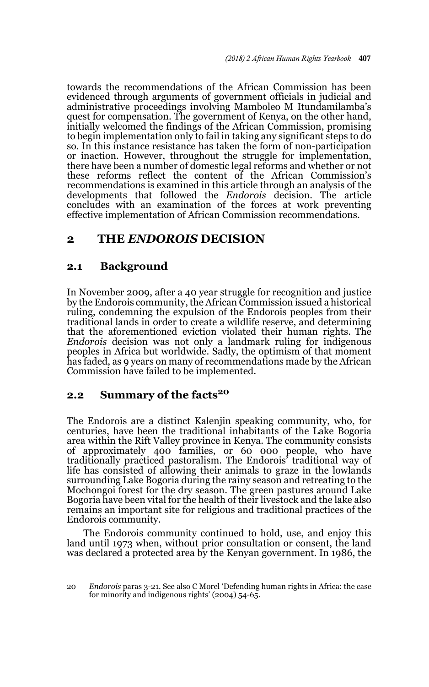towards the recommendations of the African Commission has been evidenced through arguments of government officials in judicial and administrative proceedings involving Mamboleo M Itundamilamba's quest for compensation. The government of Kenya, on the other hand, initially welcomed the findings of the African Commission, promising to begin implementation only to fail in taking any significant steps to do so. In this instance resistance has taken the form of non-participation or inaction. However, throughout the struggle for implementation, there have been a number of domestic legal reforms and whether or not these reforms reflect the content of the African Commission's recommendations is examined in this article through an analysis of the developments that followed the *Endorois* decision. The article concludes with an examination of the forces at work preventing effective implementation of African Commission recommendations.

# **2 THE** *ENDOROIS* **DECISION**

## **2.1 Background**

In November 2009, after a 40 year struggle for recognition and justice by the Endorois community, the African Commission issued a historical ruling, condemning the expulsion of the Endorois peoples from their traditional lands in order to create a wildlife reserve, and determining that the aforementioned eviction violated their human rights. The *Endorois* decision was not only a landmark ruling for indigenous peoples in Africa but worldwide. Sadly, the optimism of that moment has faded, as 9 years on many of recommendations made by the African Commission have failed to be implemented.

## **2.2** Summary of the facts<sup>20</sup>

The Endorois are a distinct Kalenjin speaking community, who, for centuries, have been the traditional inhabitants of the Lake Bogoria area within the Rift Valley province in Kenya. The community consists of approximately 400 families, or 60 000 people, who have traditionally practiced pastoralism. The Endorois' traditional way of life has consisted of allowing their animals to graze in the lowlands surrounding Lake Bogoria during the rainy season and retreating to the Mochongoi forest for the dry season. The green pastures around Lake Bogoria have been vital for the health of their livestock and the lake also remains an important site for religious and traditional practices of the Endorois community.

The Endorois community continued to hold, use, and enjoy this land until 1973 when, without prior consultation or consent, the land was declared a protected area by the Kenyan government. In 1986, the

<sup>20</sup> *Endorois* paras 3-21. See also C Morel 'Defending human rights in Africa: the case for minority and indigenous rights' (2004) 54-65.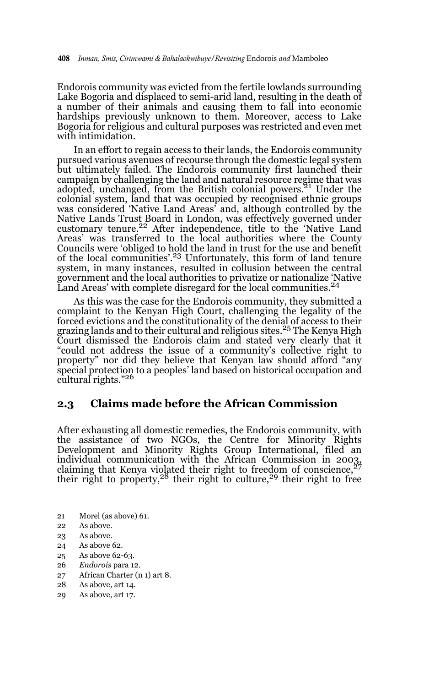Endorois community was evicted from the fertile lowlands surrounding Lake Bogoria and displaced to semi-arid land, resulting in the death of a number of their animals and causing them to fall into economic hardships previously unknown to them. Moreover, access to Lake Bogoria for religious and cultural purposes was restricted and even met with intimidation.

In an effort to regain access to their lands, the Endorois community pursued various avenues of recourse through the domestic legal system but ultimately failed. The Endorois community first launched their campaign by challenging the land and natural resource regime that was adopted, unchanged, from the British colonial powers.<sup>21</sup> Under the colonial system, land that was occupied by recognised ethnic groups was considered 'Native Land Areas' and, although controlled by the Native Lands Trust Board in London, was effectively governed under customary tenure.22 After independence, title to the 'Native Land Areas' was transferred to the local authorities where the County Councils were 'obliged to hold the land in trust for the use and benefit of the local communities'.23 Unfortunately, this form of land tenure system, in many instances, resulted in collusion between the central government and the local authorities to privatize or nationalize 'Native Land Areas' with complete disregard for the local communities.<sup>24</sup>

As this was the case for the Endorois community, they submitted a complaint to the Kenyan High Court, challenging the legality of the forced evictions and the constitutionality of the denial of access to their grazing lands and to their cultural and religious sites.<sup>25</sup> The Kenya High Court dismissed the Endorois claim and stated very clearly that it "could not address the issue of a community's collective right to property" nor did they believe that Kenyan law should afford "any special protection to a peoples' land based on historical occupation and cultural rights."<sup>26</sup>

## **2.3 Claims made before the African Commission**

After exhausting all domestic remedies, the Endorois community, with the assistance of two NGOs, the Centre for Minority Rights Development and Minority Rights Group International, filed an individual communication with the African Commission in 2003, claiming that Kenya violated their right to freedom of conscience,  $27$ their right to property,  $28$  their right to culture,  $29$  their right to free

- 21 Morel (as above) 61.
- 22 As above.
- 23 As above.
- 24 As above 62.
- 25 As above 62-63.
- 26 *Endorois* para 12.
- 27 African Charter (n 1) art 8.
- 28 As above, art 14.
- 29 As above, art 17.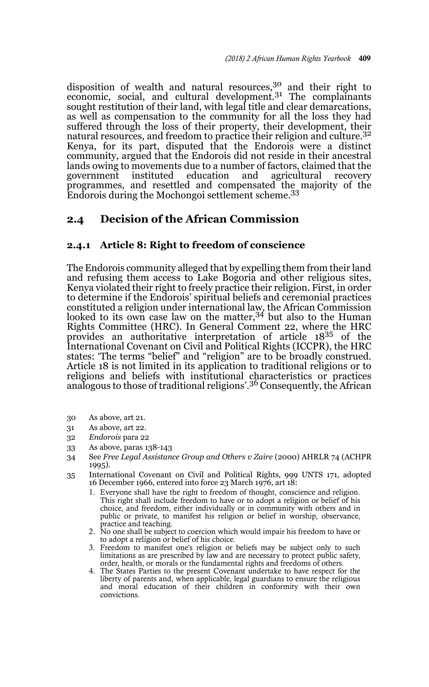disposition of wealth and natural resources,<sup>30</sup> and their right to economic, social, and cultural development.<sup>31</sup> The complainants sought restitution of their land, with legal title and clear demarcations, as well as compensation to the community for all the loss they had suffered through the loss of their property, their development, their natural resources, and freedom to practice their religion and culture.<sup>32</sup> Kenya, for its part, disputed that the Endorois were a distinct community, argued that the Endorois did not reside in their ancestral lands owing to movements due to a number of factors, claimed that the government instituted education and agricultural recovery programmes, and resettled and compensated the majority of the Endorois during the Mochongoi settlement scheme.<sup>33</sup>

## **2.4 Decision of the African Commission**

### **2.4.1 Article 8: Right to freedom of conscience**

The Endorois community alleged that by expelling them from their land and refusing them access to Lake Bogoria and other religious sites, Kenya violated their right to freely practice their religion. First, in order to determine if the Endorois' spiritual beliefs and ceremonial practices constituted a religion under international law, the African Commission looked to its own case law on the matter,34 but also to the Human Rights Committee (HRC). In General Comment 22, where the HRC provides an authoritative interpretation of article 1835 of the International Covenant on Civil and Political Rights (ICCPR), the HRC states: 'The terms "belief" and "religion" are to be broadly construed. Article 18 is not limited in its application to traditional religions or to religions and beliefs with institutional characteristics or practices<br>analogous to those of traditional religions'.<sup>36</sup> Consequently, the African

- 30 As above, art 21.
- 31 As above, art 22.
- 32 *Endorois* para 22
- 33 As above, paras 138-143
- 34 See *Free Legal Assistance Group and Others v Zaire* (2000) AHRLR 74 (ACHPR 1995).
- 35 International Covenant on Civil and Political Rights, 999 UNTS 171, adopted 16 December 1966, entered into force 23 March 1976, art 18:
	- 1. Everyone shall have the right to freedom of thought, conscience and religion. This right shall include freedom to have or to adopt a religion or belief of his choice, and freedom, either individually or in community with others and in public or private, to manifest his religion or belief in worship, observance,
	- practice and teaching. 2. No one shall be subject to coercion which would impair his freedom to have or to adopt a religion or belief of his choice.
	- 3. Freedom to manifest one's religion or beliefs may be subject only to such limitations as are prescribed by law and are necessary to protect public safety, order, health, or morals or the fundamental rights and freedoms of others.
	- 4. The States Parties to the present Covenant undertake to have respect for the liberty of parents and, when applicable, legal guardians to ensure the religious and moral education of their children in conformity with their own convictions.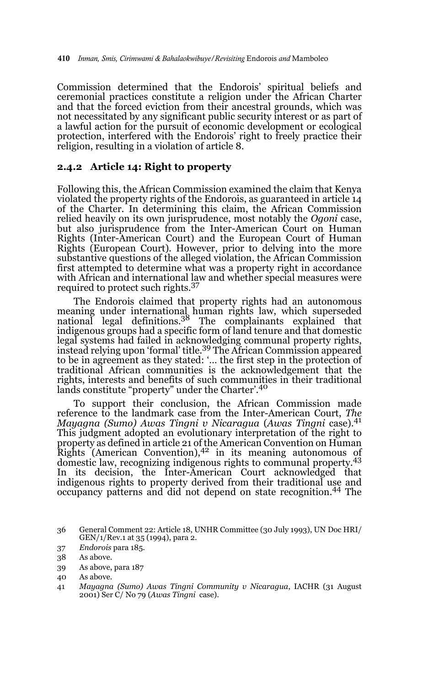Commission determined that the Endorois' spiritual beliefs and ceremonial practices constitute a religion under the African Charter and that the forced eviction from their ancestral grounds, which was not necessitated by any significant public security interest or as part of a lawful action for the pursuit of economic development or ecological protection, interfered with the Endorois' right to freely practice their religion, resulting in a violation of article 8.

#### **2.4.2 Article 14: Right to property**

Following this, the African Commission examined the claim that Kenya violated the property rights of the Endorois, as guaranteed in article 14 of the Charter. In determining this claim, the African Commission relied heavily on its own jurisprudence, most notably the *Ogoni* case, but also jurisprudence from the Inter-American Court on Human Rights (Inter-American Court) and the European Court of Human Rights (European Court). However, prior to delving into the more substantive questions of the alleged violation, the African Commission first attempted to determine what was a property right in accordance with African and international law and whether special measures were required to protect such rights.<sup>37</sup>

The Endorois claimed that property rights had an autonomous meaning under international human rights law, which superseded<br>national legal definitions.<sup>38</sup> The complainants explained that indigenous groups had a specific form of land tenure and that domestic legal systems had failed in acknowledging communal property rights, instead relying upon 'formal' title.<sup>39</sup> The African Commission appeared to be in agreement as they stated: '… the first step in the protection of traditional African communities is the acknowledgement that the rights, interests and benefits of such communities in their traditional lands constitute "property" under the Charter'.<sup>40</sup>

To support their conclusion, the African Commission made reference to the landmark case from the Inter-American Court, *The Mayagna (Sumo) Awas Tingni v Nicaragua* (*Awas Tingni* case).<sup>41</sup> This judgment adopted an evolutionary interpretation of the right to property as defined in article 21 of the American Convention on Human Rights (American Convention), $4^2$  in its meaning autonomous of domestic law, recognizing indigenous rights to communal property.<sup>43</sup> In its decision, the Inter-American Court acknowledged that indigenous rights to property derived from their traditional use and occupancy patterns and did not depend on state recognition.44 The

37 *Endorois* para 185.

39 As above, para 187

<sup>36</sup> General Comment 22: Article 18, UNHR Committee (30 July 1993), UN Doc HRI/ GEN/1/Rev.1 at 35 (1994), para 2.

<sup>38</sup> As above.

<sup>40</sup> As above.

<sup>41</sup> *Mayagna (Sumo) Awas Tingni Community v Nicaragua*, IACHR (31 August 2001) Ser C/ No 79 (*Awas Tingni* case).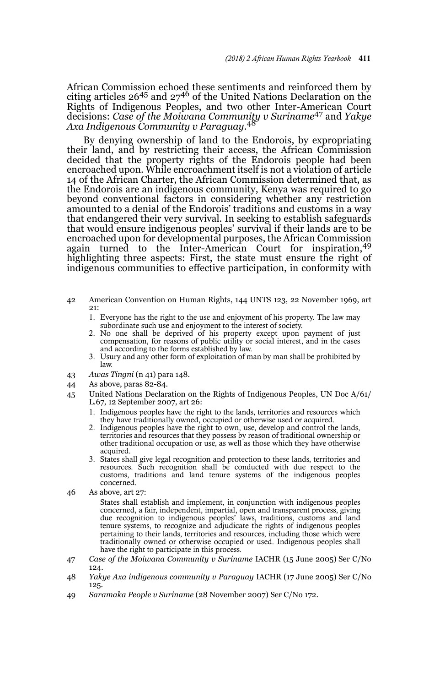African Commission echoed these sentiments and reinforced them by<br>citing articles 26<sup>45</sup> and 27<sup>46</sup> of the United Nations Declaration on the Rights of Indigenous Peoples, and two other Inter-American Court decisions: *Case of the Moiwana Community v Suriname*47 and *Yakye Axa Indigenous Community v Paraguay*. 48

By denying ownership of land to the Endorois, by expropriating their land, and by restricting their access, the African Commission decided that the property rights of the Endorois people had been encroached upon. While encroachment itself is not a violation of article 14 of the African Charter, the African Commission determined that, as the Endorois are an indigenous community, Kenya was required to go beyond conventional factors in considering whether any restriction amounted to a denial of the Endorois' traditions and customs in a way that endangered their very survival. In seeking to establish safeguards that would ensure indigenous peoples' survival if their lands are to be encroached upon for developmental purposes, the African Commission again turned to the Inter-American Court for inspiration, <sup>49</sup> highlighting three aspects: First, the state must ensure the right of indigenous communities to effective participation, in conformity with

- 42 American Convention on Human Rights, 144 UNTS 123, 22 November 1969, art 21:
	- 1. Everyone has the right to the use and enjoyment of his property. The law may subordinate such use and enjoyment to the interest of society.
	- 2. No one shall be deprived of his property except upon payment of just compensation, for reasons of public utility or social interest, and in the cases and according to the forms established by law.
	- Usury and any other form of exploitation of man by man shall be prohibited by law.
- 43 *Awas Tingni* (n 41) para 148.
- 44 As above, paras 82-84.
- 45 United Nations Declaration on the Rights of Indigenous Peoples, UN Doc A/61/ L.67, 12 September 2007, art 26:
	- 1. Indigenous peoples have the right to the lands, territories and resources which they have traditionally owned, occupied or otherwise used or acquired.
	- 2. Indigenous peoples have the right to own, use, develop and control the lands, territories and resources that they possess by reason of traditional ownership or other traditional occupation or use, as well as those which they have otherwise acquired.
	- 3. States shall give legal recognition and protection to these lands, territories and resources. Such recognition shall be conducted with due respect to the customs, traditions and land tenure systems of the indigenous peoples concerned.
- 46 As above*,* art 27:

States shall establish and implement, in conjunction with indigenous peoples concerned, a fair, independent, impartial, open and transparent process, giving due recognition to indigenous peoples' laws, traditions, customs and land tenure systems, to recognize and adjudicate the rights of indigenous peoples pertaining to their lands, territories and resources, including those which were traditionally owned or otherwise occupied or used. Indigenous peoples shall have the right to participate in this process.

- 47 *Case of the Moiwana Community v Suriname* IACHR (15 June 2005) Ser C/No 124.
- 48 *Yakye Axa indigenous community v Paraguay* IACHR (17 June 2005) Ser C/No 125.
- 49 *Saramaka People v Suriname* (28 November 2007) Ser C/No 172.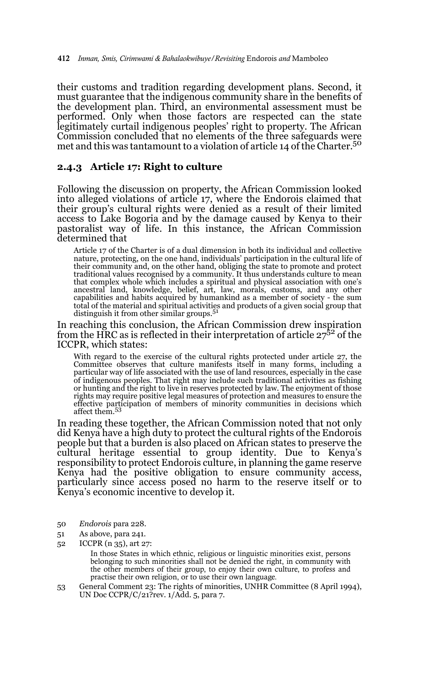their customs and tradition regarding development plans. Second, it must guarantee that the indigenous community share in the benefits of the development plan. Third, an environmental assessment must be performed. Only when those factors are respected can the state legitimately curtail indigenous peoples' right to property. The African Commission concluded that no elements of the three safeguards were met and this was tantamount to a violation of article 14 of the Charter.<sup>50</sup>

#### **2.4.3 Article 17: Right to culture**

Following the discussion on property, the African Commission looked into alleged violations of article 17, where the Endorois claimed that their group's cultural rights were denied as a result of their limited access to Lake Bogoria and by the damage caused by Kenya to their pastoralist way of life. In this instance, the African Commission determined that

Article 17 of the Charter is of a dual dimension in both its individual and collective nature, protecting, on the one hand, individuals' participation in the cultural life of their community and, on the other hand, obliging the state to promote and protect traditional values recognised by a community. It thus understands culture to mean that complex whole which includes a spiritual and physical association with one's ancestral land, knowledge, belief, art, law, morals, customs, and any other capabilities and habits acquired by humankind as a member of society - the sum total of the material and spiritual activities and products of a given social group that distinguish it from other similar groups.<sup>51</sup>

In reaching this conclusion, the African Commission drew inspiration from the HRC as is reflected in their interpretation of article  $27<sup>52</sup>$  of the ICCPR, which states:

With regard to the exercise of the cultural rights protected under article 27, the Committee observes that culture manifests itself in many forms, including a particular way of life associated with the use of land resources, especially in the case of indigenous peoples. That right may include such traditional activities as fishing or hunting and the right to live in reserves protected by law. The enjoyment of those rights may require positive legal measures of protection and measures to ensure the effective participation of members of minority communities in decisions which affect them.<sup>53</sup>

In reading these together, the African Commission noted that not only did Kenya have a high duty to protect the cultural rights of the Endorois people but that a burden is also placed on African states to preserve the cultural heritage essential to group identity. Due to Kenya's responsibility to protect Endorois culture, in planning the game reserve Kenya had the positive obligation to ensure community access, particularly since access posed no harm to the reserve itself or to Kenya's economic incentive to develop it.

- 50 *Endorois* para 228.
- 51 As above, para 241.
- 52 ICCPR (n 35), art 27:

In those States in which ethnic, religious or linguistic minorities exist, persons belonging to such minorities shall not be denied the right, in community with the other members of their group, to enjoy their own culture, to profess and practise their own religion, or to use their own language.

53 General Comment 23: The rights of minorities, UNHR Committee (8 April 1994), UN Doc CCPR/C/21?rev. 1/Add. 5, para 7.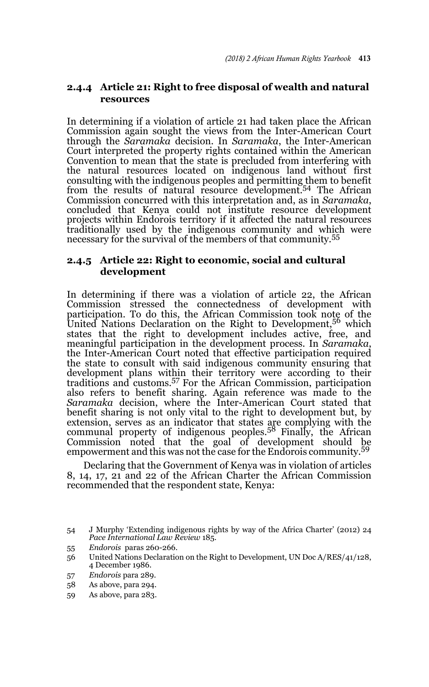## **2.4.4 Article 21: Right to free disposal of wealth and natural resources**

In determining if a violation of article 21 had taken place the African Commission again sought the views from the Inter-American Court through the *Saramaka* decision. In *Saramaka*, the Inter-American Court interpreted the property rights contained within the American Convention to mean that the state is precluded from interfering with the natural resources located on indigenous land without first consulting with the indigenous peoples and permitting them to benefit from the results of natural resource development.<sup>54</sup> The African Commission concurred with this interpretation and, as in *Saramaka*, concluded that Kenya could not institute resource development projects within Endorois territory if it affected the natural resources traditionally used by the indigenous community and which were necessary for the survival of the members of that community.<sup>55</sup>

### **2.4.5 Article 22: Right to economic, social and cultural development**

In determining if there was a violation of article 22, the African Commission stressed the connectedness of development with participation. To do this, the African Commission took note of the United Nations Declaration on the Right to Development,<sup>56</sup> which states that the right to development includes active, free, and meaningful participation in the development process. In *Saramaka*, the Inter-American Court noted that effective participation required the state to consult with said indigenous community ensuring that development plans within their territory were according to their traditions and customs.57 For the African Commission, participation also refers to benefit sharing. Again reference was made to the *Saramaka* decision, where the Inter-American Court stated that benefit sharing is not only vital to the right to development but, by extension, serves as an indicator that states are complying with the communal property of indigenous peoples.58 Finally, the African Commission noted that the goal of development should be empowerment and this was not the case for the Endorois community.<sup>59</sup>

Declaring that the Government of Kenya was in violation of articles 8, 14, 17, 21 and 22 of the African Charter the African Commission recommended that the respondent state, Kenya:

55 *Endorois* paras 260-266.

<sup>54</sup> J Murphy 'Extending indigenous rights by way of the Africa Charter' (2012) 24 *Pace International Law Review* 185.

<sup>56</sup> United Nations Declaration on the Right to Development, UN Doc A/RES/41/128, 4 December 1986.

<sup>57</sup> *Endorois* para 289.

<sup>58</sup> As above, para 294.

<sup>59</sup> As above, para 283.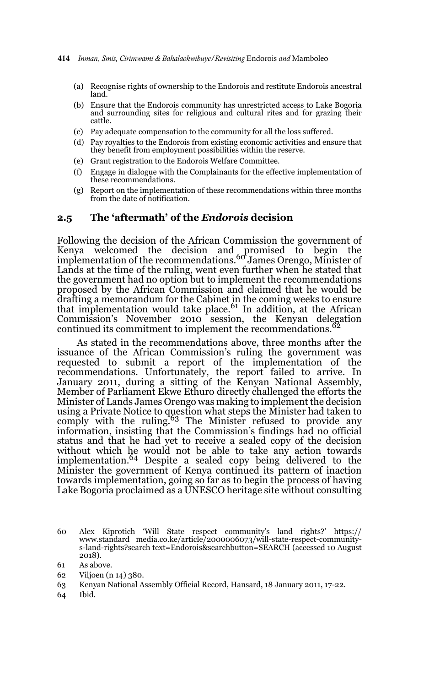- (a) Recognise rights of ownership to the Endorois and restitute Endorois ancestral land.
- (b) Ensure that the Endorois community has unrestricted access to Lake Bogoria and surrounding sites for religious and cultural rites and for grazing their cattle.
- (c) Pay adequate compensation to the community for all the loss suffered.
- (d) Pay royalties to the Endorois from existing economic activities and ensure that they benefit from employment possibilities within the reserve.
- (e) Grant registration to the Endorois Welfare Committee.
- (f) Engage in dialogue with the Complainants for the effective implementation of these recommendations.
- (g) Report on the implementation of these recommendations within three months from the date of notification.

#### **2.5 The 'aftermath' of the** *Endorois* **decision**

Following the decision of the African Commission the government of Kenya welcomed the decision and promised to begin the implementation of the recommendations.<sup>60</sup> James Orengo, Minister of Lands at the time of the ruling, went even further when he stated that the government had no option but to implement the recommendations proposed by the African Commission and claimed that he would be drafting a memorandum for the Cabinet in the coming weeks to ensure that implementation would take place. $61$  In addition, at the African Commission's November 2010 session, the Kenyan delegation continued its commitment to implement the recommendations.<sup>62</sup>

 As stated in the recommendations above, three months after the issuance of the African Commission's ruling the government was requested to submit a report of the implementation of the recommendations. Unfortunately, the report failed to arrive. In January 2011, during a sitting of the Kenyan National Assembly, Member of Parliament Ekwe Ethuro directly challenged the efforts the Minister of Lands James Orengo was making to implement the decision using a Private Notice to question what steps the Minister had taken to comply with the ruling.<sup>63</sup> The Minister refused to provide any information, insisting that the Commission's findings had no official status and that he had yet to receive a sealed copy of the decision without which he would not be able to take any action towards<br>implementation.<sup>64</sup> Despite a sealed copy being delivered to the Minister the government of Kenya continued its pattern of inaction towards implementation, going so far as to begin the process of having Lake Bogoria proclaimed as a UNESCO heritage site without consulting

- 62 Viljoen (n 14) 380.
- 63 Kenyan National Assembly Official Record, Hansard, 18 January 2011, 17-22.
- 64 Ibid.

<sup>60</sup> Alex Kiprotich 'Will State respect community's land rights?' https:// www.standard media.co.ke/article/2000006073/will-state-respect-communitys-land-rights?search text=Endorois&searchbutton=SEARCH (accessed 10 August 2018).

<sup>61</sup> As above.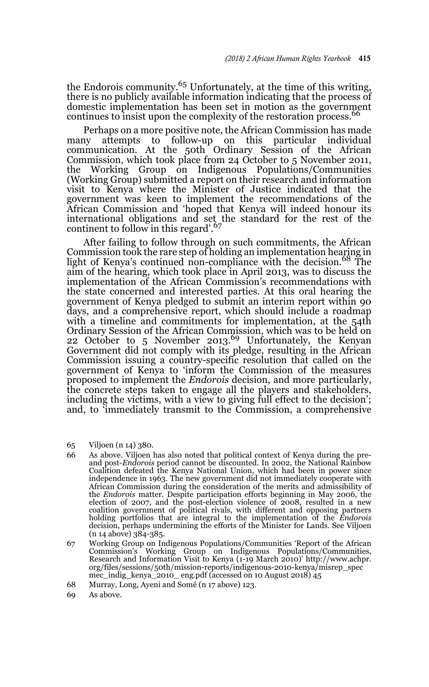the Endorois community.65 Unfortunately, at the time of this writing, there is no publicly available information indicating that the process of domestic implementation has been set in motion as the government continues to insist upon the complexity of the restoration process.<sup>66</sup>

Perhaps on a more positive note, the African Commission has made many attempts to follow-up on this particular individual communication. At the 50th Ordinary Session of the African Commission, which took place from 24 October to 5 November 2011, the Working Group on Indigenous Populations/Communities (Working Group) submitted a report on their research and information visit to Kenya where the Minister of Justice indicated that the government was keen to implement the recommendations of the African Commission and 'hoped that Kenya will indeed honour its international obligations and set the standard for the rest of the continent to follow in this regard'.<sup>67</sup>

After failing to follow through on such commitments, the African Commission took the rare step of holding an implementation hearing in light of Kenya's continued non-compliance with the decision.<sup>68</sup> The aim of the hearing, which took place in April 2013, was to discuss the implementation of the African Commission's recommendations with the state concerned and interested parties. At this oral hearing the government of Kenya pledged to submit an interim report within 90 days, and a comprehensive report, which should include a roadmap with a timeline and commitments for implementation, at the 54th Ordinary Session of the African Commission, which was to be held on 22 October to  $5$  November 2013.<sup>69</sup> Unfortunately, the Kenyan Government did not comply with its pledge, resulting in the African Commission issuing a country-specific resolution that called on the government of Kenya to 'inform the Commission of the measures proposed to implement the *Endorois* decision, and more particularly, the concrete steps taken to engage all the players and stakeholders, including the victims, with a view to giving full effect to the decision'; and, to 'immediately transmit to the Commission, a comprehensive

- 65 Viljoen (n 14) 380.
- 66 As above. Viljoen has also noted that political context of Kenya during the preand post-*Endorois* period cannot be discounted. In 2002, the National Rainbow Coalition defeated the Kenya National Union, which had been in power since independence in 1963. The new government did not immediately cooperate with African Commission during the consideration of the merits and admissibility of the *Endorois* matter. Despite participation efforts beginning in May 2006, the election of 2007, and the post-election violence of 2008, resulted in a new coalition government of political rivals, with different and opposing partners holding portfolios that are integral to the implementation of the *Endorois* decision, perhaps undermining the efforts of the Minister for Lands. See Viljoen (n 14 above) 384-385.
- 67 Working Group on Indigenous Populations/Communities 'Report of the African Commission's Working Group on Indigenous Populations/Communities, Research and Information Visit to Kenya (1-19 March 2010)' http://www.achpr. org/files/sessions/50th/mission-reports/indigenous-2010-kenya/misrep\_spec mec\_indig\_kenya\_2010\_ eng.pdf (accessed on 10 August 2018) 45
- 68 Murray, Long, Ayeni and Somé (n 17 above) 123.
- 69 As above.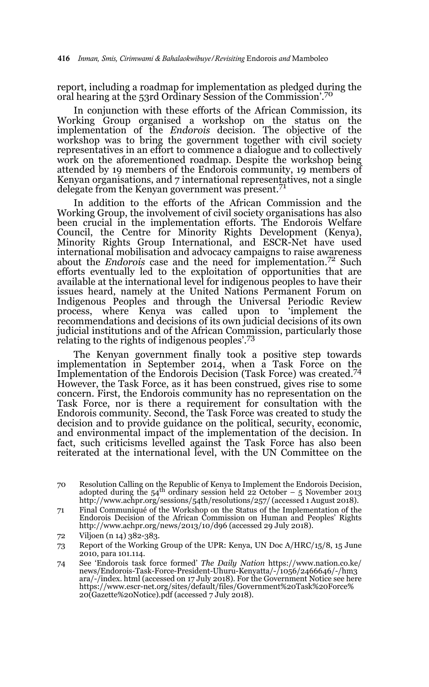report, including a roadmap for implementation as pledged during the oral hearing at the 53rd Ordinary Session of the Commission'.<sup>70</sup>

In conjunction with these efforts of the African Commission, its Working Group organised a workshop on the status on the implementation of the *Endorois* decision. The objective of the workshop was to bring the government together with civil society representatives in an effort to commence a dialogue and to collectively work on the aforementioned roadmap. Despite the workshop being attended by 19 members of the Endorois community, 19 members of Kenyan organisations, and 7 international representatives, not a single delegate from the Kenyan government was present.<sup>71</sup>

In addition to the efforts of the African Commission and the Working Group, the involvement of civil society organisations has also been crucial in the implementation efforts. The Endorois Welfare Council, the Centre for Minority Rights Development (Kenya), Minority Rights Group International, and ESCR-Net have used international mobilisation and advocacy campaigns to raise awareness about the *Endorois* case and the need for implementation.72 Such efforts eventually led to the exploitation of opportunities that are available at the international level for indigenous peoples to have their issues heard, namely at the United Nations Permanent Forum on Indigenous Peoples and through the Universal Periodic Review process, where Kenya was called upon to 'implement the recommendations and decisions of its own judicial decisions of its own judicial institutions and of the African Commission, particularly those relating to the rights of indigenous peoples'.<sup>73</sup>

The Kenyan government finally took a positive step towards implementation in September 2014, when a Task Force on the Implementation of the Endorois Decision (Task Force) was created.<sup>74</sup> However, the Task Force, as it has been construed, gives rise to some concern. First, the Endorois community has no representation on the Task Force, nor is there a requirement for consultation with the Endorois community. Second, the Task Force was created to study the decision and to provide guidance on the political, security, economic, and environmental impact of the implementation of the decision. In fact, such criticisms levelled against the Task Force has also been reiterated at the international level, with the UN Committee on the

<sup>70</sup> Resolution Calling on the Republic of Kenya to Implement the Endorois Decision, adopted during the  $54<sup>th</sup>$  ordinary session held 22 October – 5 November 2013 http://www.achpr.org/sessions/54th/resolutions/257/ (accessed 1 August 2018).

<sup>71</sup> Final Communiqué of the Workshop on the Status of the Implementation of the Endorois Decision of the African Commission on Human and Peoples' Rights http://www.achpr.org/news/2013/10/d96 (accessed 29 July 2018).

<sup>72</sup> Viljoen (n 14) 382-383.

<sup>73</sup> Report of the Working Group of the UPR: Kenya, UN Doc A/HRC/15/8, 15 June 2010, para 101.114.

<sup>74</sup> See 'Endorois task force formed' *The Daily Nation* https://www.nation.co.ke/ news/Endorois-Task-Force-President-Uhuru-Kenyatta/-/1056/2466646/-/hm3 ara/-/index. html (accessed on 17 July 2018). For the Government Notice see here https://www.escr-net.org/sites/default/files/Government%20Task%20Force% 20(Gazette%20Notice).pdf (accessed 7 July 2018).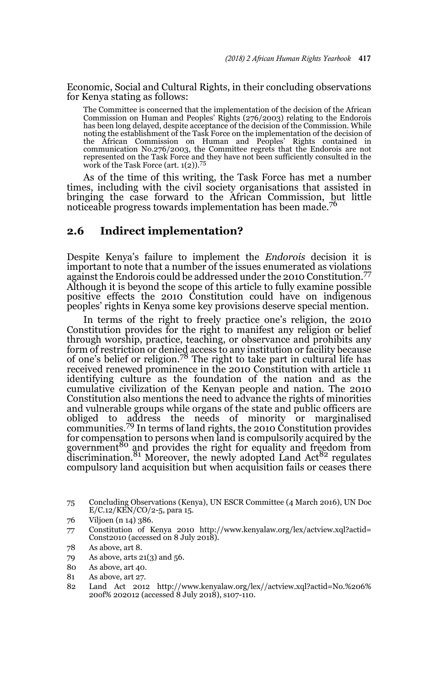Economic, Social and Cultural Rights, in their concluding observations for Kenya stating as follows:

The Committee is concerned that the implementation of the decision of the African Commission on Human and Peoples' Rights (276/2003) relating to the Endorois has been long delayed, despite acceptance of the decision of the Commission. While noting the establishment of the Task Force on the implementation of the decision of the African Commission on Human and Peoples' Rights contained in communication No.276/2003, the Committee regrets that the Endorois are not represented on the Task Force and they have not been sufficiently consulted in the work of the Task Force (art.  $1(2)$ ).<sup>75</sup>

As of the time of this writing, the Task Force has met a number times, including with the civil society organisations that assisted in bringing the case forward to the African Commission, but little noticeable progress towards implementation has been made.<sup>76</sup>

### **2.6 Indirect implementation?**

Despite Kenya's failure to implement the *Endorois* decision it is important to note that a number of the issues enumerated as violations against the Endorois could be addressed under the 2010 Constitution.<sup>77</sup> Although it is beyond the scope of this article to fully examine possible positive effects the 2010 Constitution could have on indigenous peoples' rights in Kenya some key provisions deserve special mention.

In terms of the right to freely practice one's religion, the 2010 Constitution provides for the right to manifest any religion or belief through worship, practice, teaching, or observance and prohibits any form of restriction or denied access to any institution or facility because of one's belief or religion.<sup>78</sup> The right to take part in cultural life has received renewed prominence in the 2010 Constitution with article 11 identifying culture as the foundation of the nation and as the cumulative civilization of the Kenyan people and nation. The 2010 Constitution also mentions the need to advance the rights of minorities and vulnerable groups while organs of the state and public officers are obliged to address the needs of minority or marginalised communities.79 In terms of land rights, the 2010 Constitution provides for compensation to persons when land is compulsorily acquired by the government<sup>80</sup> and provides the right for equality and freedom from  $\frac{81}{100}$  Moreover, the newly adopted Land Act<sup>82</sup> regulates compulsory land acquisition but when acquisition fails or ceases there

<sup>75</sup> Concluding Observations (Kenya), UN ESCR Committee (4 March 2016), UN Doc E/C.12/KEN/CO/2-5, para 15.

<sup>76</sup> Viljoen (n 14) 386.

<sup>77</sup> Constitution of Kenya 2010 http://www.kenyalaw.org/lex/actview.xql?actid= Const2010 (accessed on 8 July 2018).

<sup>78</sup> As above, art 8.

<sup>79</sup> As above, arts 21(3) and 56.

<sup>80</sup> As above, art 40.

<sup>81</sup> As above, art 27.

<sup>82</sup> Land Act 2012 http://www.kenyalaw.org/lex//actview.xql?actid=No.%206% 20of% 202012 (accessed 8 July 2018), s107-110.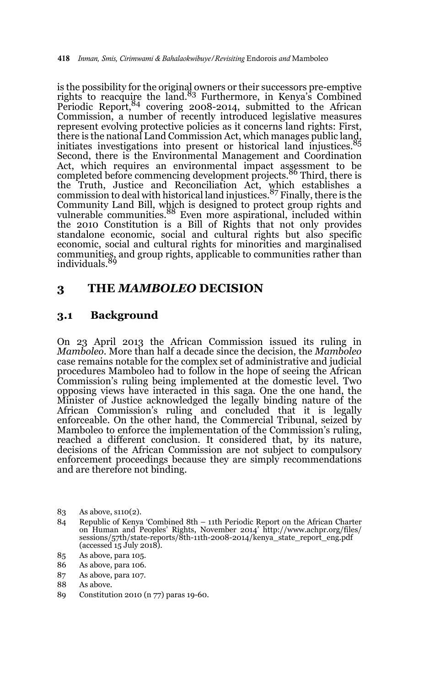is the possibility for the original owners or their successors pre-emptive<br>rights to reacquire the land.<sup>83</sup> Furthermore, in Kenya's Combined Periodic Report,<sup>84</sup> covering 2008-2014, submitted to the African Commission, a number of recently introduced legislative measures represent evolving protective policies as it concerns land rights: First, there is the national Land Commission Act, which manages public land,<br>there is the national Land Commission Act, which manages public land, initiates investigations into present or historical land injustices. Second, there is the Environmental Management and Coordination Act, which requires an environmental impact assessment to be completed before commencing development projects.<sup>86</sup> Third, there is the Truth, Justice and Reconciliation Act, which establishes a commission to deal with historical land injustices.87 Finally, there is the Community Land Bill, which is designed to protect group rights and<br>vulnerable communities.<sup>88</sup> Even more aspirational, included within the 2010 Constitution is a Bill of Rights that not only provides standalone economic, social and cultural rights but also specific economic, social and cultural rights for minorities and marginalised communities, and group rights, applicable to communities rather than<br>individuals.<sup>89</sup>

## **3 THE** *MAMBOLEO* **DECISION**

## **3.1 Background**

On 23 April 2013 the African Commission issued its ruling in *Mamboleo*. More than half a decade since the decision, the *Mamboleo* case remains notable for the complex set of administrative and judicial procedures Mamboleo had to follow in the hope of seeing the African Commission's ruling being implemented at the domestic level. Two opposing views have interacted in this saga. One the one hand, the Minister of Justice acknowledged the legally binding nature of the African Commission's ruling and concluded that it is legally enforceable. On the other hand, the Commercial Tribunal, seized by Mamboleo to enforce the implementation of the Commission's ruling, reached a different conclusion. It considered that, by its nature, decisions of the African Commission are not subject to compulsory enforcement proceedings because they are simply recommendations and are therefore not binding.

- 84 Republic of Kenya 'Combined 8th 11th Periodic Report on the African Charter on Human and Peoples' Rights, November 2014' http://www.achpr.org/files/ sessions/57th/state-reports/8th-11th-2008-2014/kenya state report eng.pdf (accessed 15 July 2018).
- 85 As above, para 105.
- 86 As above, para 106.
- 87 As above, para 107.
- 88 As above.
- 89 Constitution 2010 (n 77) paras 19-60.

<sup>83</sup> As above, s110(2).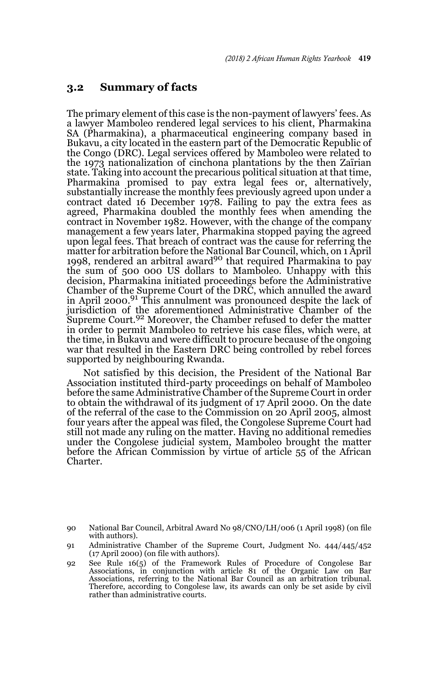#### **3.2 Summary of facts**

The primary element of this case is the non-payment of lawyers' fees. As a lawyer Mamboleo rendered legal services to his client, Pharmakina SA (Pharmakina), a pharmaceutical engineering company based in Bukavu, a city located in the eastern part of the Democratic Republic of the Congo (DRC). Legal services offered by Mamboleo were related to the 1973 nationalization of cinchona plantations by the then Zaïrian state. Taking into account the precarious political situation at that time, Pharmakina promised to pay extra legal fees or, alternatively, substantially increase the monthly fees previously agreed upon under a contract dated 16 December 1978. Failing to pay the extra fees as agreed, Pharmakina doubled the monthly fees when amending the contract in November 1982. However, with the change of the company management a few years later, Pharmakina stopped paying the agreed upon legal fees. That breach of contract was the cause for referring the matter for arbitration before the National Bar Council, which, on 1 Āpril<br>1998, rendered an arbitral award<sup>90</sup> that required Pharmakina to pay the sum of 500 000 US dollars to Mamboleo. Unhappy with this decision, Pharmakina initiated proceedings before the Administrative Chamber of the Supreme Court of the DRC, which annulled the award in April 2000.<sup>91</sup> This annulment was pronounced despite the lack of jurisdiction of the aforementioned Administrative Chamber of the Supreme Court.<sup>92</sup> Moreover, the Chamber refused to defer the matter in order to permit Mamboleo to retrieve his case files, which were, at the time, in Bukavu and were difficult to procure because of the ongoing war that resulted in the Eastern DRC being controlled by rebel forces supported by neighbouring Rwanda.

Not satisfied by this decision, the President of the National Bar Association instituted third-party proceedings on behalf of Mamboleo before the same Administrative Chamber of the Supreme Court in order to obtain the withdrawal of its judgment of 17 April 2000. On the date of the referral of the case to the Commission on 20 April 2005, almost four years after the appeal was filed, the Congolese Supreme Court had still not made any ruling on the matter. Having no additional remedies under the Congolese judicial system, Mamboleo brought the matter before the African Commission by virtue of article 55 of the African Charter.

<sup>90</sup> National Bar Council, Arbitral Award No 98/CNO/LH/006 (1 April 1998) (on file with authors).

<sup>91</sup> Administrative Chamber of the Supreme Court, Judgment No. 444/445/452 (17 April 2000) (on file with authors).

<sup>92</sup> See Rule 16(5) of the Framework Rules of Procedure of Congolese Bar Associations, in conjunction with article 81 of the Organic Law on Bar Associations, referring to the National Bar Council as an arbitration tribunal. Therefore, according to Congolese law, its awards can only be set aside by civil rather than administrative courts.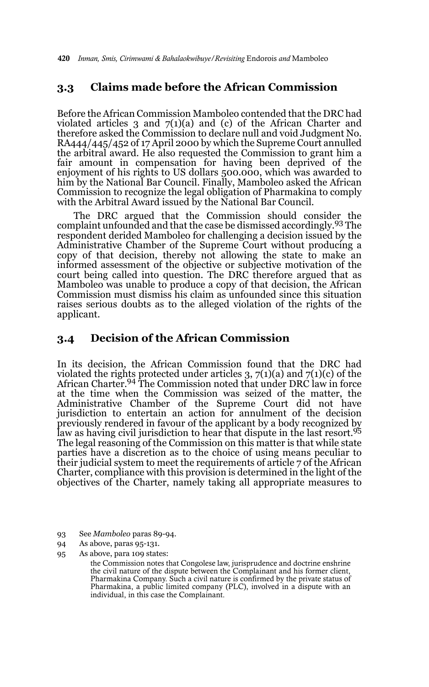420 *Inman, Smis, Cirimwami & Bahalaokwibuye/Revisiting* Endorois *and* Mamboleo

## **3.3 Claims made before the African Commission**

Before the African Commission Mamboleo contended that the DRC had violated articles 3 and  $7(1)(a)$  and (c) of the African Charter and therefore asked the Commission to declare null and void Judgment No. RA444/445/452 of 17 April 2000 by which the Supreme Court annulled the arbitral award. He also requested the Commission to grant him a fair amount in compensation for having been deprived of the enjoyment of his rights to US dollars 500.000, which was awarded to him by the National Bar Council. Finally, Mamboleo asked the African Commission to recognize the legal obligation of Pharmakina to comply with the Arbitral Award issued by the National Bar Council.

The DRC argued that the Commission should consider the complaint unfounded and that the case be dismissed accordingly.93 The respondent derided Mamboleo for challenging a decision issued by the Administrative Chamber of the Supreme Court without producing a copy of that decision, thereby not allowing the state to make an informed assessment of the objective or subjective motivation of the court being called into question. The DRC therefore argued that as Mamboleo was unable to produce a copy of that decision, the African Commission must dismiss his claim as unfounded since this situation raises serious doubts as to the alleged violation of the rights of the applicant.

### **3.4 Decision of the African Commission**

In its decision, the African Commission found that the DRC had violated the rights protected under articles 3, 7(1)(a) and 7(1)(c) of the<br>African Charter.<sup>94</sup> The Commission noted that under DRC law in force at the time when the Commission was seized of the matter, the Administrative Chamber of the Supreme Court did not have jurisdiction to entertain an action for annulment of the decision previously rendered in favour of the applicant by a body recognized by law as having civil jurisdiction to hear that dispute in the last resort.<sup>95</sup> The legal reasoning of the Commission on this matter is that while state parties have a discretion as to the choice of using means peculiar to their judicial system to meet the requirements of article 7 of the African Charter, compliance with this provision is determined in the light of the objectives of the Charter, namely taking all appropriate measures to

- 93 See *Mamboleo* paras 89-94.
- 94 As above, paras 95-131.

95 As above, para 109 states:

the Commission notes that Congolese law, jurisprudence and doctrine enshrine the civil nature of the dispute between the Complainant and his former client, Pharmakina Company. Such a civil nature is confirmed by the private status of Pharmakina, a public limited company (PLC), involved in a dispute with an individual, in this case the Complainant.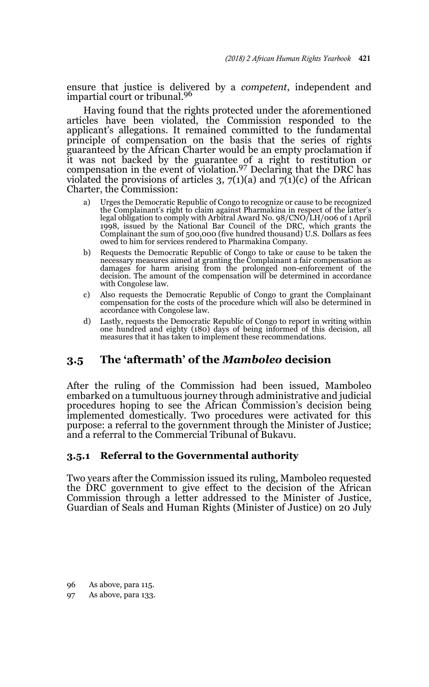ensure that justice is delivered by a *competent*, independent and impartial court or tribunal.<sup>96</sup>

Having found that the rights protected under the aforementioned articles have been violated, the Commission responded to the applicant's allegations. It remained committed to the fundamental principle of compensation on the basis that the series of rights guaranteed by the African Charter would be an empty proclamation if it was not backed by the guarantee of a right to restitution or compensation in the event of violation.97 Declaring that the DRC has violated the provisions of articles 3,  $7(1)(a)$  and  $7(1)(c)$  of the African Charter, the Commission:

- a) Urges the Democratic Republic of Congo to recognize or cause to be recognized the Complainant's right to claim against Pharmakina in respect of the latter's legal obligation to comply with Arbitral Award No. 98/CNO/LH/006 of 1 April 1998, issued by the National Bar Council of the DRC, which grants the Complainant the sum of 500,000 (five hundred thousand) U.S. Dollars as fees owed to him for services rendered to Pharmakina Company.
- b) Requests the Democratic Republic of Congo to take or cause to be taken the necessary measures aimed at granting the Complainant a fair compensation as damages for harm arising from the prolonged non-enforcement of the decision. The amount of the compensation will be determined in accordance with Congolese law.
- c) Also requests the Democratic Republic of Congo to grant the Complainant compensation for the costs of the procedure which will also be determined in accordance with Congolese law.
- d) Lastly, requests the Democratic Republic of Congo to report in writing within one hundred and eighty (180) days of being informed of this decision, all measures that it has taken to implement these recommendations.

## **3.5 The 'aftermath' of the** *Mamboleo* **decision**

After the ruling of the Commission had been issued, Mamboleo embarked on a tumultuous journey through administrative and judicial procedures hoping to see the African Commission's decision being implemented domestically. Two procedures were activated for this purpose: a referral to the government through the Minister of Justice; and a referral to the Commercial Tribunal of Bukavu.

## **3.5.1 Referral to the Governmental authority**

Two years after the Commission issued its ruling, Mamboleo requested the DRC government to give effect to the decision of the African Commission through a letter addressed to the Minister of Justice, Guardian of Seals and Human Rights (Minister of Justice) on 20 July

- 96 As above, para 115.
- 97 As above, para 133.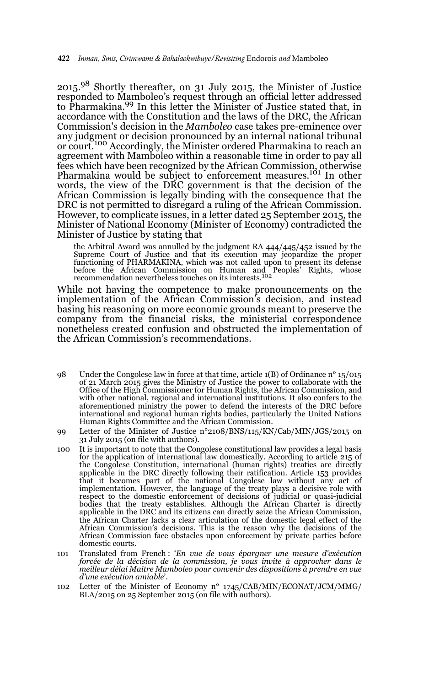2015.98 Shortly thereafter, on 31 July 2015, the Minister of Justice responded to Mamboleo's request through an official letter addressed to Pharmakina.99 In this letter the Minister of Justice stated that, in accordance with the Constitution and the laws of the DRC, the African Commission's decision in the *Mamboleo* case takes pre-eminence over any judgment or decision pronounced by an internal national tribunal or court.<sup>100</sup> Accordingly, the Minister ordered Pharmakina to reach an agreement with Mamboleo within a reasonable time in order to pay all fees which have been recognized by the African Commission, otherwise Pharmakina would be subject to enforcement measures.<sup>101</sup> In other words, the view of the DRC government is that the decision of the African Commission is legally binding with the consequence that the DRC is not permitted to disregard a ruling of the African Commission. However, to complicate issues, in a letter dated 25 September 2015, the Minister of National Economy (Minister of Economy) contradicted the Minister of Justice by stating that

the Arbitral Award was annulled by the judgment RA 444/445/452 issued by the Supreme Court of Justice and that its execution may jeopardize the proper functioning of PHARMAKINA, which was not called upon to present its defense before the African Commission on Human and Peoples' Rights, whose recommendation nevertheless touches on its interests.<sup>102</sup>

While not having the competence to make pronouncements on the implementation of the African Commission's decision, and instead basing his reasoning on more economic grounds meant to preserve the company from the financial risks, the ministerial correspondence nonetheless created confusion and obstructed the implementation of the African Commission's recommendations.

- 98 Under the Congolese law in force at that time, article 1(B) of Ordinance n° 15/015 of 21 March 2015 gives the Ministry of Justice the power to collaborate with the Office of the High Commissioner for Human Rights, the African Commission, and with other national, regional and international institutions. It also confers to the aforementioned ministry the power to defend the interests of the DRC before international and regional human rights bodies, particularly the United Nations Human Rights Committee and the African Commission.
- 99 Letter of the Minister of Justice n°2108/BNS/115/KN/Cab/MIN/JGS/2015 on 31 July 2015 (on file with authors).
- 100 It is important to note that the Congolese constitutional law provides a legal basis for the application of international law domestically. According to article 215 of the Congolese Constitution, international (human rights) treaties are directly applicable in the DRC directly following their ratification. Article 153 provides that it becomes part of the national Congolese law without any act of implementation. However, the language of the treaty plays a decisive role with respect to the domestic enforcement of decisions of judicial or quasi-judicial bodies that the treaty establishes. Although the African Charter is directly applicable in the DRC and its citizens can directly seize the African Commission, the African Charter lacks a clear articulation of the domestic legal effect of the African Commission's decisions. This is the reason why the decisions of the African Commission face obstacles upon enforcement by private parties before domestic courts.
- 101 Translated from French : '*En vue de vous épargner une mesure d'exécution forcée de la décision de la commission, je vous invite à approcher dans le meilleur délai Maitre Mamboleo pour convenir des dispositions à prendre en vue d'une exécution amiable*'.
- 102 Letter of the Minister of Economy n° 1745/CAB/MIN/ECONAT/JCM/MMG/ BLA/2015 on 25 September 2015 (on file with authors).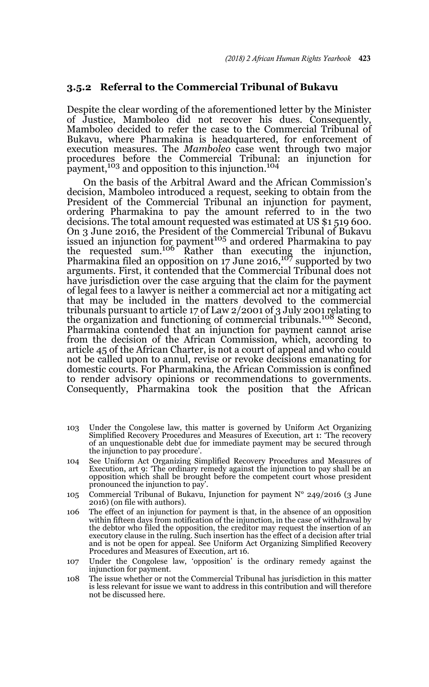#### **3.5.2 Referral to the Commercial Tribunal of Bukavu**

Despite the clear wording of the aforementioned letter by the Minister of Justice, Mamboleo did not recover his dues. Consequently, Mamboleo decided to refer the case to the Commercial Tribunal of Bukavu, where Pharmakina is headquartered, for enforcement of execution measures. The *Mamboleo* case went through two major procedures before the Commercial Tribunal: an injunction for payment,<sup>103</sup> and opposition to this injunction.<sup>104</sup>

On the basis of the Arbitral Award and the African Commission's decision, Mamboleo introduced a request, seeking to obtain from the President of the Commercial Tribunal an injunction for payment, ordering Pharmakina to pay the amount referred to in the two decisions. The total amount requested was estimated at US \$1 519 600. On 3 June 2016, the President of the Commercial Tribunal of Bukavu issued an injunction for payment<sup>105</sup> and ordered Pharmakina to pay the requested sum.<sup>106</sup> Rather than executing the injunction, Pharmakina filed an opposition on 17 June 2016,107 supported by two arguments. First, it contended that the Commercial Tribunal does not have jurisdiction over the case arguing that the claim for the payment of legal fees to a lawyer is neither a commercial act nor a mitigating act that may be included in the matters devolved to the commercial tribunals pursuant to article 17 of Law 2/2001 of 3 July 2001 relating to the organization and functioning of commercial tribunals.<sup>108</sup> Second, Pharmakina contended that an injunction for payment cannot arise from the decision of the African Commission, which, according to article 45 of the African Charter, is not a court of appeal and who could not be called upon to annul, revise or revoke decisions emanating for domestic courts. For Pharmakina, the African Commission is confined to render advisory opinions or recommendations to governments. Consequently, Pharmakina took the position that the African

- 103 Under the Congolese law, this matter is governed by Uniform Act Organizing Simplified Recovery Procedures and Measures of Execution, art 1: 'The recovery of an unquestionable debt due for immediate payment may be secured through the injunction to pay procedure'.
- 104 See Uniform Act Organizing Simplified Recovery Procedures and Measures of Execution, art 9: 'The ordinary remedy against the injunction to pay shall be an opposition which shall be brought before the competent court whose president pronounced the injunction to pay'.
- 105 Commercial Tribunal of Bukavu, Injunction for payment  $N^{\circ}$  249/2016 (3 June 2016) (on file with authors).
- 106 The effect of an injunction for payment is that, in the absence of an opposition within fifteen days from notification of the injunction, in the case of withdrawal by the debtor who filed the opposition, the creditor may request the insertion of an executory clause in the ruling. Such insertion has the effect of a decision after trial and is not be open for appeal. See Uniform Act Organizing Simplified Recovery Procedures and Measures of Execution, art 16.
- 107 Under the Congolese law, 'opposition' is the ordinary remedy against the injunction for payment.
- 108 The issue whether or not the Commercial Tribunal has jurisdiction in this matter is less relevant for issue we want to address in this contribution and will therefore not be discussed here.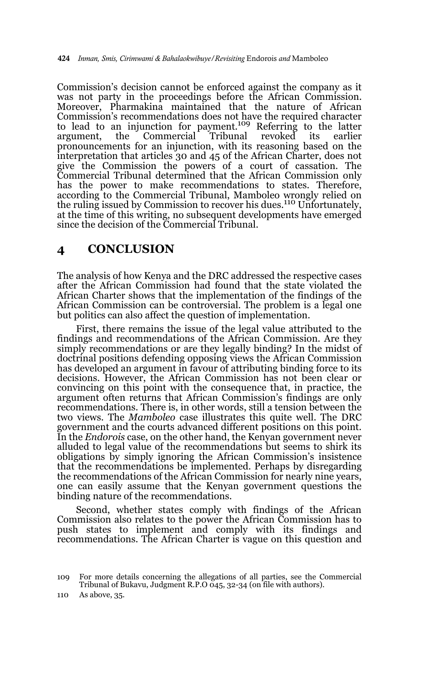Commission's decision cannot be enforced against the company as it was not party in the proceedings before the African Commission. Moreover, Pharmakina maintained that the nature of African Commission's recommendations does not have the required character to lead to an injunction for payment.109 Referring to the latter argument, the Commercial Tribunal revoked its earlier pronouncements for an injunction, with its reasoning based on the interpretation that articles 30 and 45 of the African Charter, does not give the Commission the powers of a court of cassation. The Commercial Tribunal determined that the African Commission only has the power to make recommendations to states. Therefore, according to the Commercial Tribunal, Mamboleo wrongly relied on<br>the ruling issued by Commission to recover his dues.<sup>110</sup> Unfortunately, at the time of this writing, no subsequent developments have emerged since the decision of the Commercial Tribunal.

## **4 CONCLUSION**

The analysis of how Kenya and the DRC addressed the respective cases after the African Commission had found that the state violated the African Charter shows that the implementation of the findings of the African Commission can be controversial. The problem is a legal one but politics can also affect the question of implementation.

 First, there remains the issue of the legal value attributed to the findings and recommendations of the African Commission. Are they simply recommendations or are they legally binding? In the midst of doctrinal positions defending opposing views the African Commission has developed an argument in favour of attributing binding force to its decisions. However, the African Commission has not been clear or convincing on this point with the consequence that, in practice, the argument often returns that African Commission's findings are only recommendations. There is, in other words, still a tension between the two views. The *Mamboleo* case illustrates this quite well. The DRC government and the courts advanced different positions on this point. In the *Endorois* case, on the other hand, the Kenyan government never alluded to legal value of the recommendations but seems to shirk its obligations by simply ignoring the African Commission's insistence that the recommendations be implemented. Perhaps by disregarding the recommendations of the African Commission for nearly nine years, one can easily assume that the Kenyan government questions the binding nature of the recommendations.

 Second, whether states comply with findings of the African Commission also relates to the power the African Commission has to push states to implement and comply with its findings and recommendations. The African Charter is vague on this question and

<sup>109</sup> For more details concerning the allegations of all parties, see the Commercial Tribunal of Bukavu, Judgment R.P.O 045, 32-34 (on file with authors).

<sup>110</sup> As above, 35.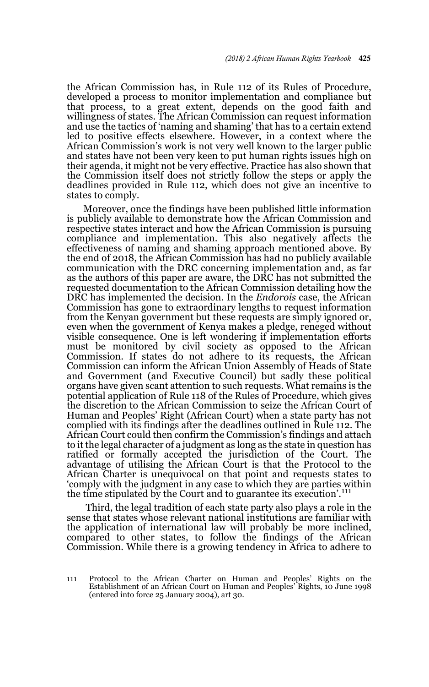the African Commission has, in Rule 112 of its Rules of Procedure, developed a process to monitor implementation and compliance but that process, to a great extent, depends on the good faith and willingness of states. The African Commission can request information and use the tactics of 'naming and shaming' that has to a certain extend led to positive effects elsewhere. However, in a context where the African Commission's work is not very well known to the larger public and states have not been very keen to put human rights issues high on their agenda, it might not be very effective. Practice has also shown that the Commission itself does not strictly follow the steps or apply the deadlines provided in Rule 112, which does not give an incentive to states to comply.

Moreover, once the findings have been published little information is publicly available to demonstrate how the African Commission and respective states interact and how the African Commission is pursuing compliance and implementation. This also negatively affects the effectiveness of naming and shaming approach mentioned above. By the end of 2018, the African Commission has had no publicly available communication with the DRC concerning implementation and, as far as the authors of this paper are aware, the DRC has not submitted the requested documentation to the African Commission detailing how the DRC has implemented the decision. In the *Endorois* case, the African Commission has gone to extraordinary lengths to request information from the Kenyan government but these requests are simply ignored or, even when the government of Kenya makes a pledge, reneged without visible consequence. One is left wondering if implementation efforts must be monitored by civil society as opposed to the African Commission. If states do not adhere to its requests, the African Commission can inform the African Union Assembly of Heads of State and Government (and Executive Council) but sadly these political organs have given scant attention to such requests. What remains is the potential application of Rule 118 of the Rules of Procedure, which gives the discretion to the African Commission to seize the African Court of Human and Peoples' Right (African Court) when a state party has not complied with its findings after the deadlines outlined in Rule 112. The African Court could then confirm the Commission's findings and attach to it the legal character of a judgment as long as the state in question has ratified or formally accepted the jurisdiction of the Court. The advantage of utilising the African Court is that the Protocol to the African Charter is unequivocal on that point and requests states to 'comply with the judgment in any case to which they are parties within the time stipulated by the Court and to guarantee its execution'.<sup>111</sup>

 Third, the legal tradition of each state party also plays a role in the sense that states whose relevant national institutions are familiar with the application of international law will probably be more inclined, compared to other states, to follow the findings of the African Commission. While there is a growing tendency in Africa to adhere to

<sup>111</sup> Protocol to the African Charter on Human and Peoples' Rights on the Establishment of an African Court on Human and Peoples' Rights, 10 June 1998 (entered into force 25 January 2004), art 30.